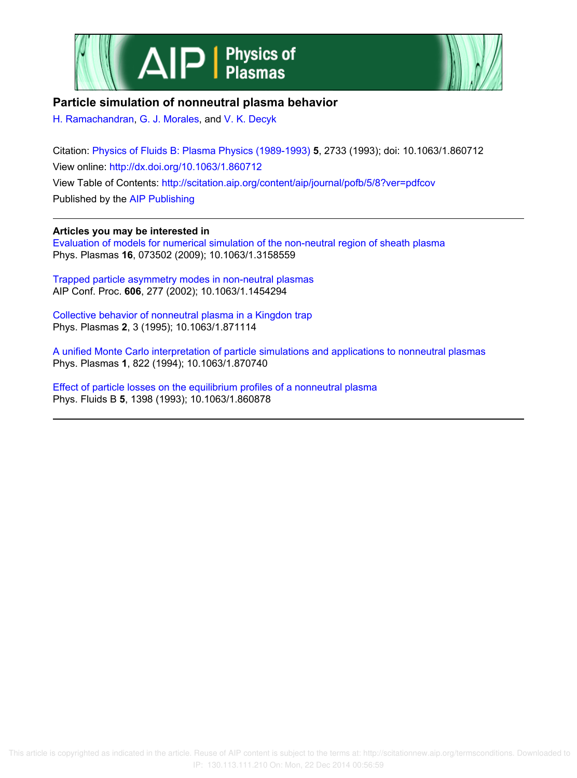



## **Particle simulation of nonneutral plasma behavior**

H. Ramachandran, G. J. Morales, and V. K. Decyk

Citation: Physics of Fluids B: Plasma Physics (1989-1993) **5**, 2733 (1993); doi: 10.1063/1.860712 View online: http://dx.doi.org/10.1063/1.860712 View Table of Contents: http://scitation.aip.org/content/aip/journal/pofb/5/8?ver=pdfcov Published by the AIP Publishing

**Articles you may be interested in**

Evaluation of models for numerical simulation of the non-neutral region of sheath plasma Phys. Plasmas **16**, 073502 (2009); 10.1063/1.3158559

Trapped particle asymmetry modes in non-neutral plasmas AIP Conf. Proc. **606**, 277 (2002); 10.1063/1.1454294

Collective behavior of nonneutral plasma in a Kingdon trap Phys. Plasmas **2**, 3 (1995); 10.1063/1.871114

A unified Monte Carlo interpretation of particle simulations and applications to nonneutral plasmas Phys. Plasmas **1**, 822 (1994); 10.1063/1.870740

Effect of particle losses on the equilibrium profiles of a nonneutral plasma Phys. Fluids B **5**, 1398 (1993); 10.1063/1.860878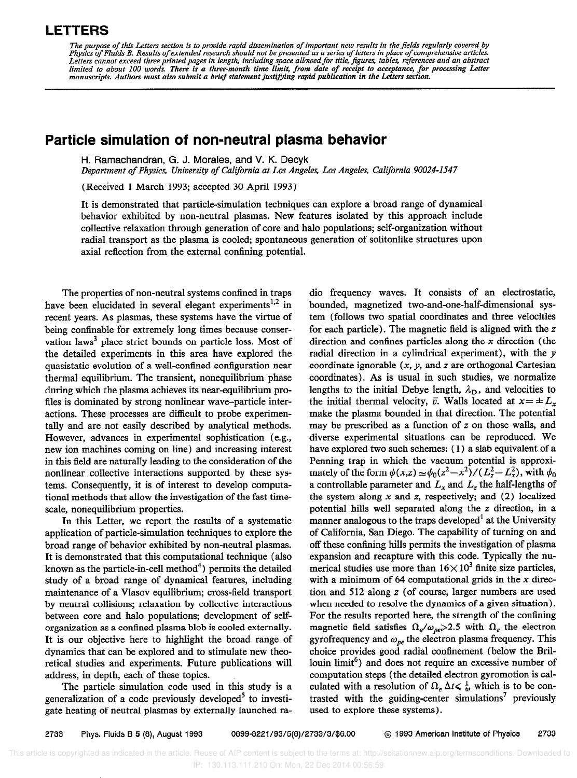## LETTERS

The purpose of this Letters section is to provide rapid dissemination of important new results in the fields regularly covered by<br>Physics of Fluids B. Results of extended research should not be presented as a series of let

## Particle simulation of non-neutral plasma behavior

H. Ramachandran, G. J. Morales, and V. K. Decyk

Department of Physics, University of California at Los Angeles, Los Angeles, California 90024-1547

(Received 1 March 1993; accepted 30 April 1993)

It is demonstrated that particle-simulation techniques can explore a broad range of dynamical behavior exhibited by non-neutral plasmas. New features isolated by this approach include collective relaxation through generation of core and halo populations; self-organization without radial transport as the plasma is cooled; spontaneous generation of solitonlike structures upon axial reflection from the external confining potential.

The properties of non-neutral systems confined in traps have been elucidated in several elegant experiments<sup>1,2</sup> in recent years. As plasmas, these systems have the virtue of being confinable for extremely long times because conservation laws<sup>3</sup> place strict bounds on particle loss. Most of the detailed experiments in this area have explored the quasistatic evolution of a well-confined configuration near thermal equilibrium. The transient, nonequilibrium phase during which the plasma achieves its near-equilibrium profiles is dominated by strong nonlinear wave-particle interactions. These processes are difficult to probe experimentally and are not easily described by analytical methods. However, advances in experimental sophistication (e.g., new ion machines coming on line) and increasing interest in this field are naturally leading to the consideration of the nonlinear collective interactions supported by these systems. Consequently, it is of interest to develop computational methods that allow the investigation of the fast timescale, nonequilibrium properties.

In this Letter, we report the results of a systematic application of particle-simulation techniques to explore the broad range of behavior exhibited by non-neutral plasmas. It is demonstrated that this computational technique (also known as the particle-in-cell method<sup>4</sup>) permits the detailed study of a broad range of dynamical features, including maintenance of a Vlasov equilibrium; cross-field transport by neutral collisions; relaxation by collective interactions between core and halo populations; development of selforganization as a confined plasma blob is cooled externally. It is our objective here to highlight the broad range of dynamics that can be explored and to stimulate new theoretical studies and experiments. Future publications will address, in depth, each of these topics.

The particle simulation code used in this study is a generalization of a code previously developed<sup>5</sup> to investigate heating of neutral plasmas by externally launched radio frequency waves. It consists of an electrostatic, bounded, magnetized two-and-one-half-dimensional system (follows two spatial coordinates and three velocities for each particle). The magnetic field is aligned with the z direction and confines particles along the  $x$  direction (the radial direction in a cylindrical experiment), with the y coordinate ignorable  $(x, y,$  and  $z$  are orthogonal Cartesian coordinates). As is usual in such studies, we normalize lengths to the initial Debye length,  $\lambda_{\rm D}$ , and velocities to the initial thermal velocity,  $\bar{v}$ . Walls located at  $x = \pm L_x$ make the plasma bounded in that direction. The potential may be prescribed as a function of z on those walls, and diverse experimental situations can be reproduced. We have explored two such schemes: (1) a slab equivalent of a Penning trap in which the vacuum potential is approximately of the form  $\phi(x,z) \approx \phi_0(z^2-x^2)/(L_z^2-L_x^2)$ , with  $\phi_0$ a controllable parameter and  $L_x$  and  $L_z$  the half-lengths of the system along  $x$  and  $z$ , respectively; and (2) localized potential hills well separated along the z direction, in a manner analogous to the traps developed<sup>1</sup> at the University of California, San Diego. The capability of turning on and off these confining hills permits the investigation of plasma expansion and recapture with this code. Typically the numerical studies use more than  $16 \times 10^3$  finite size particles, with a minimum of 64 computational grids in the  $x$  direction and 512 along z (of course, larger numbers are used when needed to resolve the dynamics of a given situation). For the results reported here, the strength of the confining magnetic field satisfies  $\Omega_e/\omega_{pe} \ge 2.5$  with  $\Omega_e$  the electron gyrofrequency and  $\omega_{pe}$  the electron plasma frequency. This choice provides good radial confinement (below the Brillouin limit<sup>6</sup>) and does not require an excessive number of computation steps (the detailed electron gyromotion is calculated with a resolution of  $\Omega_e \Delta t \leq \frac{1}{6}$ , which is to be contrasted with the guiding-center simulations' previously used to explore these systems).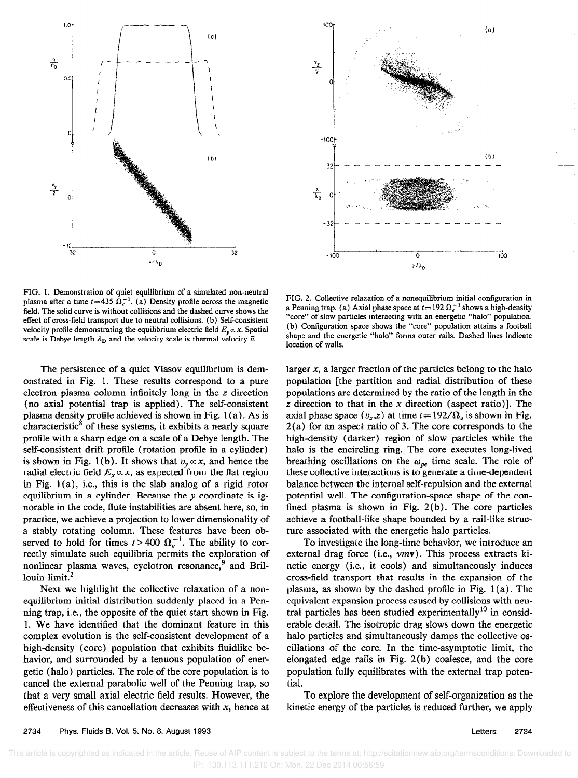



FIG. 1. Demonstration of quiet equilibrium of a simulated non-neutral plasma after a time  $t=435 \Omega_c^{-1}$ . (a) Density profile across the magnetic field, The solid curve is without collisions and the dashed curve shows the effect of cross-field transport due to neutral collisions. (b) Self-consistent velocity profile demonstrating the equilibrium electric field  $E_y \propto x$ . Spatial scale is Debye length  $\lambda_{\rm D}$  and the velocity scale is thermal velocity  $\bar{v}$ .

The persistence of a quiet Vlasov equilibrium is demonstrated in Fig. 1. These results correspond to a pure electron plasma column infinitely long in the z direction (no axial potential trap is applied). The self-consistent plasma density profile achieved is shown in Fig. 1 (a). As is characteristic<sup>8</sup> of these systems, it exhibits a nearly square profile with a sharp edge on a scale of a Debye length. The self-consistent drift profile (rotation profile in a cylinder) is shown in Fig. 1(b). It shows that  $v_y \propto x$ , and hence the radial electric field  $E_x \propto x$ , as expected from the flat region in Fig. 1 (a), i.e., this is the slab analog of a rigid rotor equilibrium in a cylinder. Because the  $\nu$  coordinate is ignorable in the code, flute instabilities are absent here, so, in practice, we achieve a projection to lower dimensionality of a stably rotating column. These features have been observed to hold for times  $t > 400 \Omega_e^{-1}$ . The ability to correctly simulate such equilibria permits the exploration of nonlinear plasma waves, cyclotron resonance,<sup>9</sup> and Brillouin limit.<sup>2</sup>

Next we highlight the collective relaxation of a nonequilibrium initial distribution suddenly placed in a Penning trap, i.e., the opposite of the quiet start shown in Fig. 1. We have identified that the dominant feature in this complex evolution is the self-consistent development of a high-density (core) population that exhibits fluidlike behavior, and surrounded by a tenuous population of energetic (halo) particles. The role of the core population is to cancel the external parabolic well of the Penning trap, so that a very small axial electric field results. However, the effectiveness of this cancellation decreases with  $x$ , hence at

FIG. 2. Collective relaxation of a nonequilibrium initial configuration in a Penning trap. (a) Axial phase space at  $t= 192 \Omega_{\epsilon}^{-1}$  shows a high-density "core" of slow particles interacting with an energetic "halo" population. (b) Configuration space shows the "core" population attains a football shape and the energetic "halo" forms outer rails. Dashed lines indicate location of walls.

larger  $x$ , a larger fraction of the particles belong to the halo population [the partition and radial distribution of these populations are determined by the ratio of the length in the  $z$  direction to that in the  $x$  direction (aspect ratio)]. The axial phase space  $(v_z, z)$  at time  $t = 192/\Omega_e$  is shown in Fig. 2(a) for an aspect ratio of 3. The core corresponds to the high-density (darker) region of slow particles while the halo is the encircling ring. The core executes long-lived breathing oscillations on the  $\omega_{pe}$  time scale. The role of these collective interactions is to generate a time-dependent balance between the internal self-repulsion and the external potential well. The configuration-space shape of the confined plasma is shown in Fig. 2(b). The core particles achieve a football-like shape bounded by a rail-like structure associated with the energetic halo particles.

To investigate the long-time behavior, we introduce an external drag force (i.e., vmv). This process extracts kinetic energy (i.e., it cools) and simultaneously induces cross-field transport that results in the expansion of the plasma, as shown by the dashed profile in Fig.  $1(a)$ . The equivalent expansion process caused by collisions with neutral particles has been studied experimentally<sup>10</sup> in considerable detail. The isotropic drag slows down the energetic halo particles and simultaneously damps the collective oscillations of the core. In the time-asymptotic limit, the elongated edge rails in Fig. 2(b) coalesce, and the core population fully equilibrates with the external trap potential.

To explore the development of self-organization as the kinetic energy of the particles is reduced further, we apply